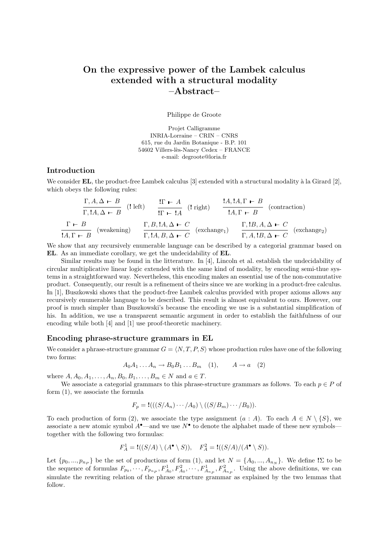# On the expressive power of the Lambek calculus extended with a structural modality  $-{\rm Abstract}-$

Philippe de Groote

Projet Calligramme INRIA-Lorraine – CRIN – CNRS 615, rue du Jardin Botanique - B.P. 101 54602 Villers-lès-Nancy Cedex – FRANCE e-mail: degroote@loria.fr

# Introduction

We consider  $EL$ , the product-free Lambek calculus [3] extended with a structural modality à la Girard [2], which obeys the following rules:

$$
\frac{\Gamma, A, \Delta \vdash B}{\Gamma, \mathbf{1}A, \Delta \vdash B} \quad (\text{left}) \qquad \frac{\mathbf{1}\Gamma \vdash A}{\mathbf{1}\Gamma \vdash \mathbf{1}A} \quad (\text{right}) \qquad \frac{\mathbf{1}A, \mathbf{1}A, \Gamma \vdash B}{\mathbf{1}A, \Gamma \vdash B} \quad (\text{contraction})
$$
\n
$$
\frac{\Gamma \vdash B}{\mathbf{1}A, \Gamma \vdash B} \quad (\text{weakening}) \qquad \frac{\Gamma, B, \mathbf{1}A, \Delta \vdash C}{\Gamma, \mathbf{1}A, B, \Delta \vdash C} \quad (\text{exchange}_1) \qquad \frac{\Gamma, \mathbf{1}B, A, \Delta \vdash C}{\Gamma, A, \mathbf{1}B, \Delta \vdash C} \quad (\text{exchange}_2)
$$

We show that any recursively enumerable language can be described by a categorial grammar based on EL. As an immediate corollary, we get the undecidability of EL.

Similar results may be found in the litterature. In [4], Lincoln et al. establish the undecidability of circular multiplicative linear logic extended with the same kind of modality, by encoding semi-thue systems in a straightforward way. Nevertheless, this encoding makes an essential use of the non-commutative product. Consequently, our result is a refinement of theirs since we are working in a product-free calculus. In [1], Buszkowski shows that the product-free Lambek calculus provided with proper axioms allows any recursively enumerable language to be described. This result is almost equivalent to ours. However, our proof is much simpler than Buszkowski's because the encoding we use is a substantial simplification of his. In addition, we use a transparent semantic argument in order to establish the faithfulness of our encoding while both [4] and [1] use proof-theoretic machinery.

#### Encoding phrase-structure grammars in EL

We consider a phrase-structure grammar  $G = \langle N, T, P, S \rangle$  whose production rules have one of the following two forms:

$$
A_0 A_1 \dots A_n \to B_0 B_1 \dots B_m \quad (1), \qquad A \to a \quad (2)
$$

where  $A, A_0, A_1, \ldots, A_n, B_0, B_1, \ldots, B_m \in N$  and  $a \in T$ .

We associate a categorial grammars to this phrase-structure grammars as follows. To each  $p \in P$  of form (1), we associate the formula

$$
F_p = \mathbf{!}((S/A_n) \cdots / A_0) \setminus ((S/B_m) \cdots / B_0)).
$$

To each production of form (2), we associate the type assignment  $(a : A)$ . To each  $A \in N \setminus \{S\}$ , we associate a new atomic symbol  $A^{\bullet}$ —and we use  $N^{\bullet}$  to denote the alphabet made of these new symbols together with the following two formulas:

$$
F_A^1 = \mathbf{!}((S/A) \setminus (A^\bullet \setminus S)), \quad F_A^2 = \mathbf{!}((S/A)/(A^\bullet \setminus S)).
$$

Let  $\{p_0, ..., p_{n_P}\}\$ be the set of productions of form (1), and let  $N = \{A_0, ..., A_{n_N}\}\$ . We define  $!\Sigma$  to be the sequence of formulas  $F_{p_0}, \dots, F_{p_{n_P}}, F_{A_0}^1, F_{A_0}^2, \dots, F_{A_{n_P}}^1, F_{A_{n_P}}^2$ . Using the above definitions, we can simulate the rewriting relation of the phrase structure grammar as explained by the two lemmas that follow.